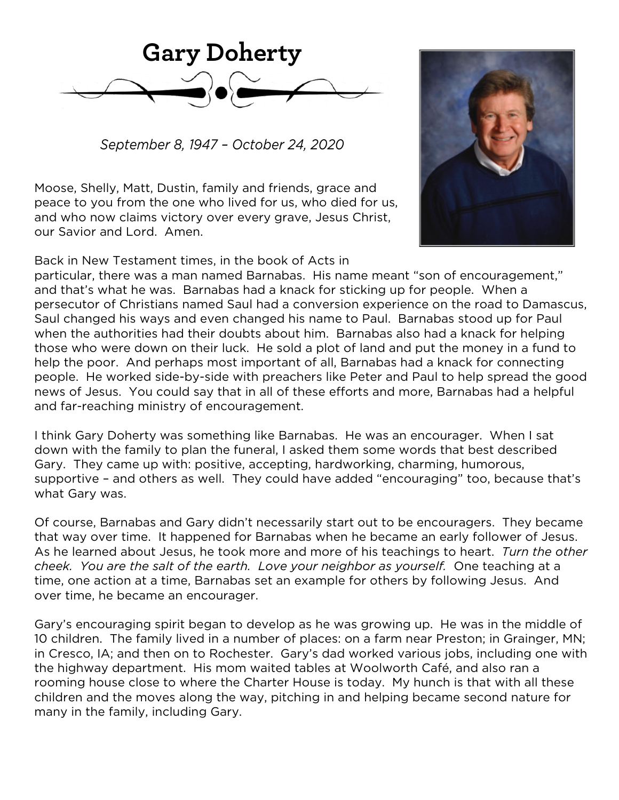

*September 8, 1947 – October 24, 2020*

Moose, Shelly, Matt, Dustin, family and friends, grace and peace to you from the one who lived for us, who died for us, and who now claims victory over every grave, Jesus Christ, our Savior and Lord. Amen.



Back in New Testament times, in the book of Acts in

particular, there was a man named Barnabas. His name meant "son of encouragement," and that's what he was. Barnabas had a knack for sticking up for people. When a persecutor of Christians named Saul had a conversion experience on the road to Damascus, Saul changed his ways and even changed his name to Paul. Barnabas stood up for Paul when the authorities had their doubts about him. Barnabas also had a knack for helping those who were down on their luck. He sold a plot of land and put the money in a fund to help the poor. And perhaps most important of all, Barnabas had a knack for connecting people. He worked side-by-side with preachers like Peter and Paul to help spread the good news of Jesus. You could say that in all of these efforts and more, Barnabas had a helpful and far-reaching ministry of encouragement.

I think Gary Doherty was something like Barnabas. He was an encourager. When I sat down with the family to plan the funeral, I asked them some words that best described Gary. They came up with: positive, accepting, hardworking, charming, humorous, supportive – and others as well. They could have added "encouraging" too, because that's what Gary was.

Of course, Barnabas and Gary didn't necessarily start out to be encouragers. They became that way over time. It happened for Barnabas when he became an early follower of Jesus. As he learned about Jesus, he took more and more of his teachings to heart. *Turn the other cheek. You are the salt of the earth. Love your neighbor as yourself.* One teaching at a time, one action at a time, Barnabas set an example for others by following Jesus. And over time, he became an encourager.

Gary's encouraging spirit began to develop as he was growing up. He was in the middle of 10 children. The family lived in a number of places: on a farm near Preston; in Grainger, MN; in Cresco, IA; and then on to Rochester. Gary's dad worked various jobs, including one with the highway department. His mom waited tables at Woolworth Café, and also ran a rooming house close to where the Charter House is today. My hunch is that with all these children and the moves along the way, pitching in and helping became second nature for many in the family, including Gary.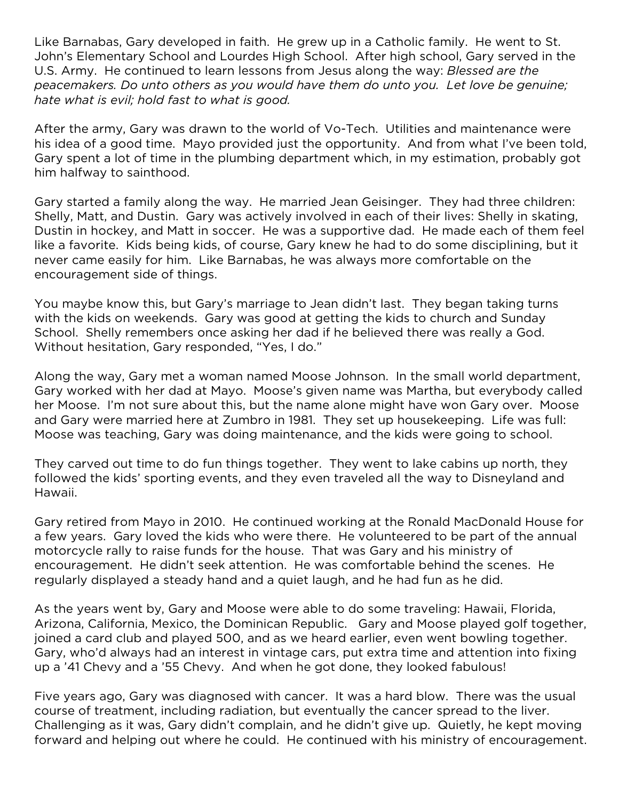Like Barnabas, Gary developed in faith. He grew up in a Catholic family. He went to St. John's Elementary School and Lourdes High School. After high school, Gary served in the U.S. Army. He continued to learn lessons from Jesus along the way: *Blessed are the peacemakers. Do unto others as you would have them do unto you. Let love be genuine; hate what is evil; hold fast to what is good.* 

After the army, Gary was drawn to the world of Vo-Tech. Utilities and maintenance were his idea of a good time. Mayo provided just the opportunity. And from what I've been told, Gary spent a lot of time in the plumbing department which, in my estimation, probably got him halfway to sainthood.

Gary started a family along the way. He married Jean Geisinger. They had three children: Shelly, Matt, and Dustin. Gary was actively involved in each of their lives: Shelly in skating, Dustin in hockey, and Matt in soccer. He was a supportive dad. He made each of them feel like a favorite. Kids being kids, of course, Gary knew he had to do some disciplining, but it never came easily for him. Like Barnabas, he was always more comfortable on the encouragement side of things.

You maybe know this, but Gary's marriage to Jean didn't last. They began taking turns with the kids on weekends. Gary was good at getting the kids to church and Sunday School. Shelly remembers once asking her dad if he believed there was really a God. Without hesitation, Gary responded, "Yes, I do."

Along the way, Gary met a woman named Moose Johnson. In the small world department, Gary worked with her dad at Mayo. Moose's given name was Martha, but everybody called her Moose. I'm not sure about this, but the name alone might have won Gary over. Moose and Gary were married here at Zumbro in 1981. They set up housekeeping. Life was full: Moose was teaching, Gary was doing maintenance, and the kids were going to school.

They carved out time to do fun things together. They went to lake cabins up north, they followed the kids' sporting events, and they even traveled all the way to Disneyland and Hawaii.

Gary retired from Mayo in 2010. He continued working at the Ronald MacDonald House for a few years. Gary loved the kids who were there. He volunteered to be part of the annual motorcycle rally to raise funds for the house. That was Gary and his ministry of encouragement. He didn't seek attention. He was comfortable behind the scenes. He regularly displayed a steady hand and a quiet laugh, and he had fun as he did.

As the years went by, Gary and Moose were able to do some traveling: Hawaii, Florida, Arizona, California, Mexico, the Dominican Republic. Gary and Moose played golf together, joined a card club and played 500, and as we heard earlier, even went bowling together. Gary, who'd always had an interest in vintage cars, put extra time and attention into fixing up a '41 Chevy and a '55 Chevy. And when he got done, they looked fabulous!

Five years ago, Gary was diagnosed with cancer. It was a hard blow. There was the usual course of treatment, including radiation, but eventually the cancer spread to the liver. Challenging as it was, Gary didn't complain, and he didn't give up. Quietly, he kept moving forward and helping out where he could. He continued with his ministry of encouragement.